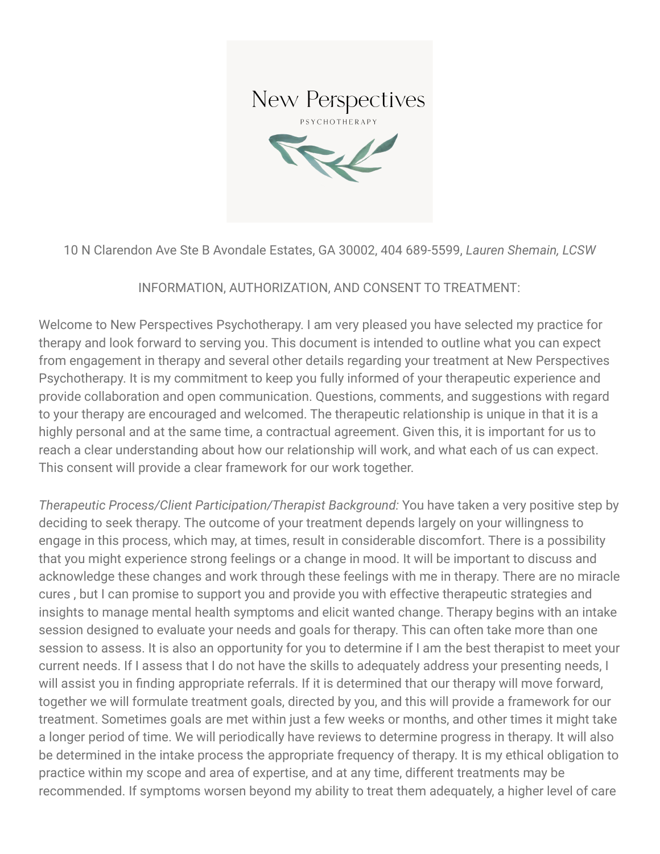

10 N Clarendon Ave Ste B Avondale Estates, GA 30002, 404 689-5599, *Lauren Shemain, LCSW*

## INFORMATION, AUTHORIZATION, AND CONSENT TO TREATMENT:

Welcome to New Perspectives Psychotherapy. I am very pleased you have selected my practice for therapy and look forward to serving you. This document is intended to outline what you can expect from engagement in therapy and several other details regarding your treatment at New Perspectives Psychotherapy. It is my commitment to keep you fully informed of your therapeutic experience and provide collaboration and open communication. Questions, comments, and suggestions with regard to your therapy are encouraged and welcomed. The therapeutic relationship is unique in that it is a highly personal and at the same time, a contractual agreement. Given this, it is important for us to reach a clear understanding about how our relationship will work, and what each of us can expect. This consent will provide a clear framework for our work together.

*Therapeutic Process/Client Participation/Therapist Background:* You have taken a very positive step by deciding to seek therapy. The outcome of your treatment depends largely on your willingness to engage in this process, which may, at times, result in considerable discomfort. There is a possibility that you might experience strong feelings or a change in mood. It will be important to discuss and acknowledge these changes and work through these feelings with me in therapy. There are no miracle cures , but I can promise to support you and provide you with effective therapeutic strategies and insights to manage mental health symptoms and elicit wanted change. Therapy begins with an intake session designed to evaluate your needs and goals for therapy. This can often take more than one session to assess. It is also an opportunity for you to determine if I am the best therapist to meet your current needs. If I assess that I do not have the skills to adequately address your presenting needs, I will assist you in finding appropriate referrals. If it is determined that our therapy will move forward, together we will formulate treatment goals, directed by you, and this will provide a framework for our treatment. Sometimes goals are met within just a few weeks or months, and other times it might take a longer period of time. We will periodically have reviews to determine progress in therapy. It will also be determined in the intake process the appropriate frequency of therapy. It is my ethical obligation to practice within my scope and area of expertise, and at any time, different treatments may be recommended. If symptoms worsen beyond my ability to treat them adequately, a higher level of care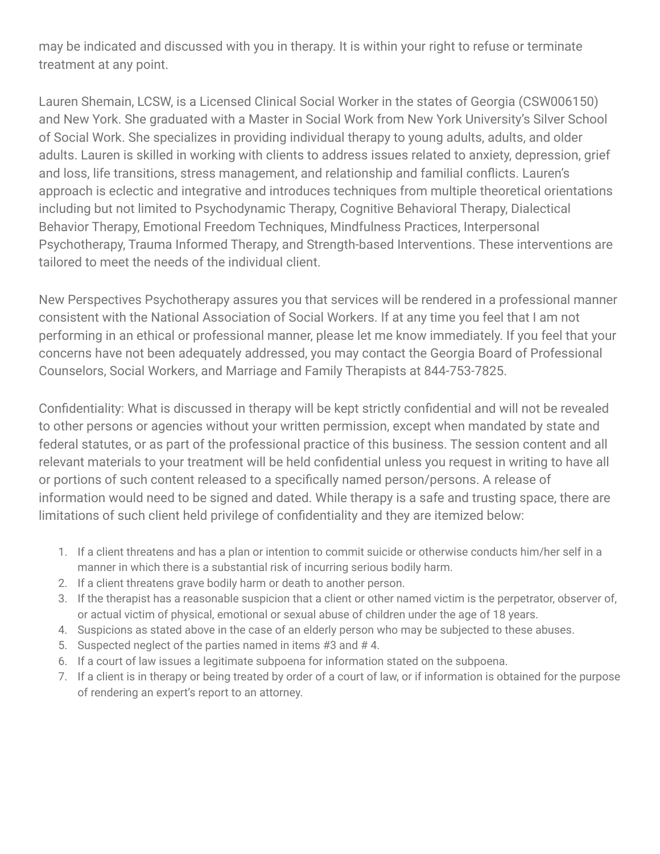may be indicated and discussed with you in therapy. It is within your right to refuse or terminate treatment at any point.

Lauren Shemain, LCSW, is a Licensed Clinical Social Worker in the states of Georgia (CSW006150) and New York. She graduated with a Master in Social Work from New York University's Silver School of Social Work. She specializes in providing individual therapy to young adults, adults, and older adults. Lauren is skilled in working with clients to address issues related to anxiety, depression, grief and loss, life transitions, stress management, and relationship and familial conflicts. Lauren's approach is eclectic and integrative and introduces techniques from multiple theoretical orientations including but not limited to Psychodynamic Therapy, Cognitive Behavioral Therapy, Dialectical Behavior Therapy, Emotional Freedom Techniques, Mindfulness Practices, Interpersonal Psychotherapy, Trauma Informed Therapy, and Strength-based Interventions. These interventions are tailored to meet the needs of the individual client.

New Perspectives Psychotherapy assures you that services will be rendered in a professional manner consistent with the National Association of Social Workers. If at any time you feel that I am not performing in an ethical or professional manner, please let me know immediately. If you feel that your concerns have not been adequately addressed, you may contact the Georgia Board of Professional Counselors, Social Workers, and Marriage and Family Therapists at 844-753-7825.

Confidentiality: What is discussed in therapy will be kept strictly confidential and will not be revealed to other persons or agencies without your written permission, except when mandated by state and federal statutes, or as part of the professional practice of this business. The session content and all relevant materials to your treatment will be held confidential unless you request in writing to have all or portions of such content released to a specifically named person/persons. A release of information would need to be signed and dated. While therapy is a safe and trusting space, there are limitations of such client held privilege of confidentiality and they are itemized below:

- 1. If a client threatens and has a plan or intention to commit suicide or otherwise conducts him/her self in a manner in which there is a substantial risk of incurring serious bodily harm.
- 2. If a client threatens grave bodily harm or death to another person.
- 3. If the therapist has a reasonable suspicion that a client or other named victim is the perpetrator, observer of, or actual victim of physical, emotional or sexual abuse of children under the age of 18 years.
- 4. Suspicions as stated above in the case of an elderly person who may be subjected to these abuses.
- 5. Suspected neglect of the parties named in items #3 and # 4.
- 6. If a court of law issues a legitimate subpoena for information stated on the subpoena.
- 7. If a client is in therapy or being treated by order of a court of law, or if information is obtained for the purpose of rendering an expert's report to an attorney.